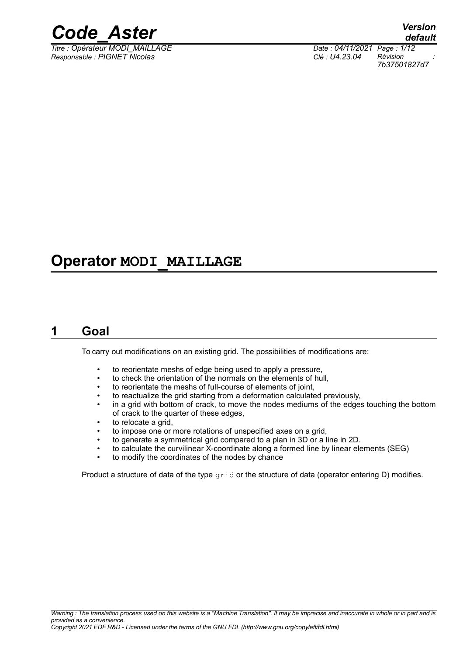

*Titre : Opérateur MODI\_MAILLAGE Date : 04/11/2021 Page : 1/12 Responsable : PIGNET Nicolas Clé : U4.23.04 Révision :*

*default 7b37501827d7*

### **Operator MODI\_MAILLAGE**

### **1 Goal**

<span id="page-0-0"></span>To carry out modifications on an existing grid. The possibilities of modifications are:

- to reorientate meshs of edge being used to apply a pressure,
- to check the orientation of the normals on the elements of hull,
- to reorientate the meshs of full-course of elements of joint,
- to reactualize the grid starting from a deformation calculated previously,
- in a grid with bottom of crack, to move the nodes mediums of the edges touching the bottom of crack to the quarter of these edges,
- to relocate a grid.
- to impose one or more rotations of unspecified axes on a grid,
- to generate a symmetrical grid compared to a plan in 3D or a line in 2D.
- to calculate the curvilinear X-coordinate along a formed line by linear elements (SEG)
- to modify the coordinates of the nodes by chance

Product a structure of data of the type  $grid$  or the structure of data (operator entering D) modifies.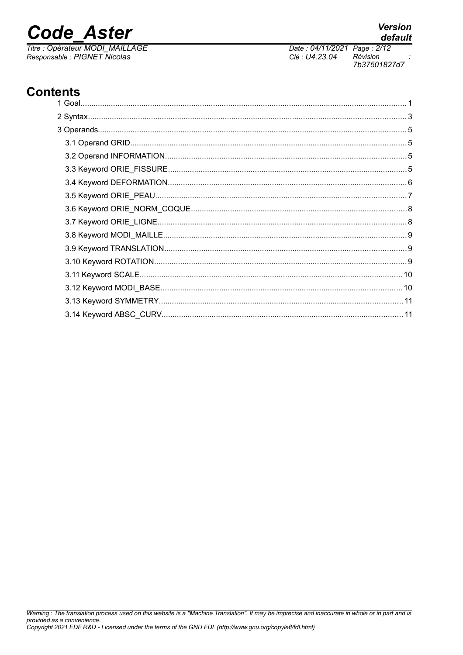## **Code Aster**

Titre : Opérateur MODI\_MAILLAGE Responsable : PIGNET Nicolas

### **Contents**

Date: 04/11/2021 Page: 2/12 Clé : U4.23.04 Révision 7b37501827d7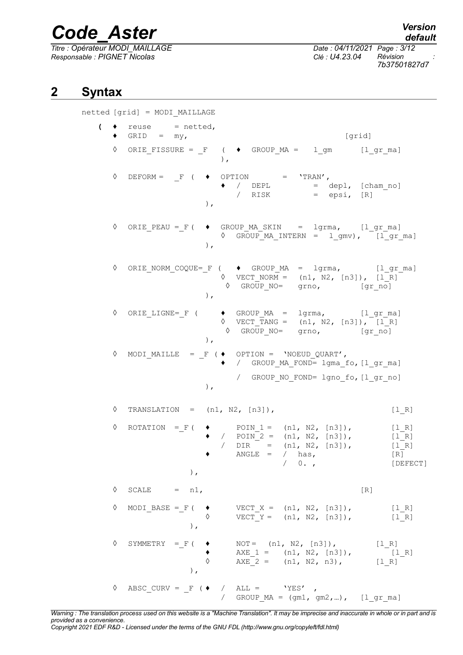*Titre : Opérateur MODI\_MAILLAGE Date : 04/11/2021 Page : 3/12 Responsable : PIGNET Nicolas Clé : U4.23.04 Révision :*

*default 7b37501827d7*

### **2 Syntax**

<span id="page-2-0"></span>netted [grid] = MODI\_MAILLAGE

| $\overline{\mathcal{L}}$ |   | $reuse = netted,$<br>$GRID = my,$<br>[grid]                                                                                                                                                                                                       |
|--------------------------|---|---------------------------------------------------------------------------------------------------------------------------------------------------------------------------------------------------------------------------------------------------|
|                          | ♦ | ORIE FISSURE = $F$ ( $\blacklozenge$ GROUP MA = 1 gm [1 gr ma]<br>$\lambda$ .                                                                                                                                                                     |
|                          | ♦ | DEFORM = $\Gamma$ ( $\blacklozenge$ OPTION = 'TRAN',<br>$\bullet$ / DEPL = depl, [cham_no]<br>$/$ RISK = epsi, $[R]$<br>$\,$ ,                                                                                                                    |
|                          | ♦ | ORIE PEAU = F ( $\bullet$ GROUP MA SKIN = lgrma, [l gr ma]<br>$\Diamond$ GROUP MA INTERN = 1 gmv), [1 gr ma]<br>$\,$ ,                                                                                                                            |
|                          | ♦ | ORIE NORM COQUE= F ( $\blacklozenge$ GROUP MA = lgrma, [lgrma]<br>$\sqrt{2}$ VECT NORM = (n1, N2, [n3]), [1 R]<br>$\Diamond$ GROUP NO= grno, [gr_no]<br>$\lambda$ ,                                                                               |
|                          | ♦ | $ORIE_LIGNE = F$ ( $\rightarrow$ GROUP_MA = $lgrma$ , $lgr_ma$ ]<br>$\begin{array}{ccc} \lozenge & \text{VECT\_TANG} = & \text{(n1, N2, [n3])}, \text{ [1_R]} \\ \lozenge & \text{GROUP\_NO=} & \text{grno}, & \text{[gr\_no]} \end{array}$<br>), |
|                          | ♦ | MODI_MAILLE = $_F$ ( $\bullet$ OPTION = 'NOEUD QUART',<br>◆ / GROUP MA FOND= lgma_fo, [l_gr_ma]<br>/ GROUP NO FOND= lgno fo, [l gr no]<br>$\,$ , $\,$                                                                                             |
|                          | ♦ | TRANSLATION = $(n1, N2, [n3])$ ,<br>[1 R]                                                                                                                                                                                                         |
|                          | ♦ | $\bullet$ POIN 1 = $(n1, N2, [n3])$ ,<br>$ROTATION = F ($<br>$[1 R]$<br>• / $P OIN^2 = (n1, N2, [n3]),$<br>$[1 R]$<br>/ $DIR = (n1, N2, [n3]),$<br>$[1 R]$<br>$\triangle$ NGLE = / has,<br>[R]<br>/ 0.7<br>[DEFECT]<br>$\,$ ,                     |
|                          | ♦ | SCALE $= n1,$<br>[R]                                                                                                                                                                                                                              |
|                          | ♦ | MODI_BASE = $_F$ ( $\rightarrow$<br>VECT $X = (n1, N2, [n3])$ ,<br>$[1 R]$<br>VECT $Y = (n1, N2, [n3]),$<br>$[1 R]$<br>$\,$ , $\,$                                                                                                                |
|                          | ♦ | SYMMETRY = $_F$ ( $\triangleleft$<br>NOT= $(n1, N2, [n3])$ ,<br>[1 R]<br>AXE $1 = (n1, N2, [n3])$ ,<br>$[1 R]$<br>$\Diamond$<br>$AXE^{-2} = (n1, N2, n3),$<br>$[1 R]$<br>$\lambda$ ,                                                              |
|                          | ♦ | ABSC CURV = $F$ ( $\bullet$ / ALL = 'YES',<br>/ $GROUP_MA = (gm1, gm2, )$ , $[1 gr_ma]$                                                                                                                                                           |

*Warning : The translation process used on this website is a "Machine Translation". It may be imprecise and inaccurate in whole or in part and is provided as a convenience. Copyright 2021 EDF R&D - Licensed under the terms of the GNU FDL (http://www.gnu.org/copyleft/fdl.html)*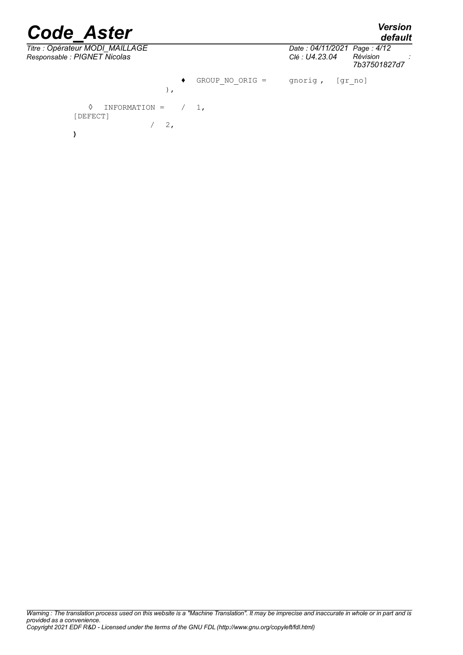*default*

 $\overline{T}$ itre : Opérateur MODI\_MAILLAGE *Responsable : PIGNET Nicolas Clé : U4.23.04 Révision :*

| Date: 04/11/2021 Page: 4/12 |              |
|-----------------------------|--------------|
| Clé : U4.23.04              | Révision     |
|                             | 7b37501827d7 |
|                             |              |

♦ GROUP\_NO\_ORIG = gnorig , [gr\_no] ),

 $\Diamond$  INFORMATION =  $/ 1$ , [DEFECT]  $/ 2,$ **)**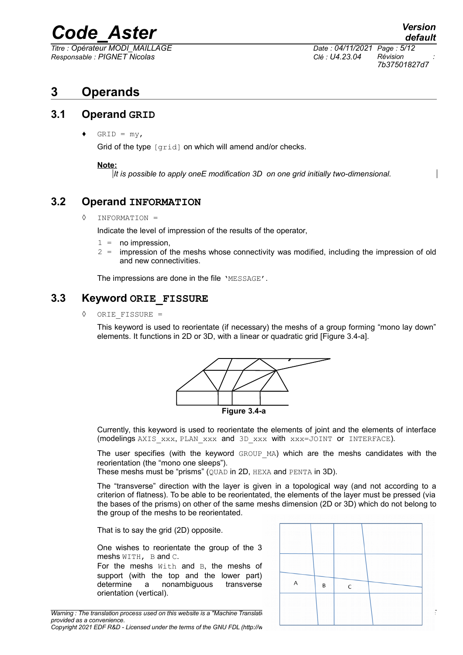*Titre : Opérateur MODI\_MAILLAGE Date : 04/11/2021 Page : 5/12 Responsable : PIGNET Nicolas Clé : U4.23.04 Révision :*

*7b37501827d7*

### <span id="page-4-3"></span>**3 Operands**

### **3.1 Operand GRID**

<span id="page-4-2"></span> $GRID = my$ ,

Grid of the type [grid] on which will amend and/or checks.

#### **Note:**

*It is possible to apply oneE modification 3D on one grid initially two-dimensional.*

### **3.2 Operand INFORMATION**

<span id="page-4-1"></span>◊ INFORMATION =

Indicate the level of impression of the results of the operator,

- $1 = no$  impression.
- $2 =$  impression of the meshs whose connectivity was modified, including the impression of old and new connectivities.

The impressions are done in the file 'MESSAGE'.

### **3.3 Keyword ORIE\_FISSURE**

<span id="page-4-0"></span>ORIE FISSURE =

This keyword is used to reorientate (if necessary) the meshs of a group forming "mono lay down" elements. It functions in 2D or 3D, with a linear or quadratic grid [Figure 3.4-a].



Currently, this keyword is used to reorientate the elements of joint and the elements of interface (modelings AXIS\_xxx, PLAN\_xxx and 3D\_xxx with xxx=JOINT or INTERFACE).

The user specifies (with the keyword GROUP MA) which are the meshs candidates with the reorientation (the "mono one sleeps").

These meshs must be "prisms" (QUAD in 2D, HEXA and PENTA in 3D).

The "transverse" direction with the layer is given in a topological way (and not according to a criterion of flatness). To be able to be reorientated, the elements of the layer must be pressed (via the bases of the prisms) on other of the same meshs dimension (2D or 3D) which do not belong to the group of the meshs to be reorientated.

That is to say the grid (2D) opposite.

One wishes to reorientate the group of the 3 meshs WITH, B and C. For the meshs With and B, the meshs of

support (with the top and the lower part) determine a nonambiguous transverse orientation (vertical).

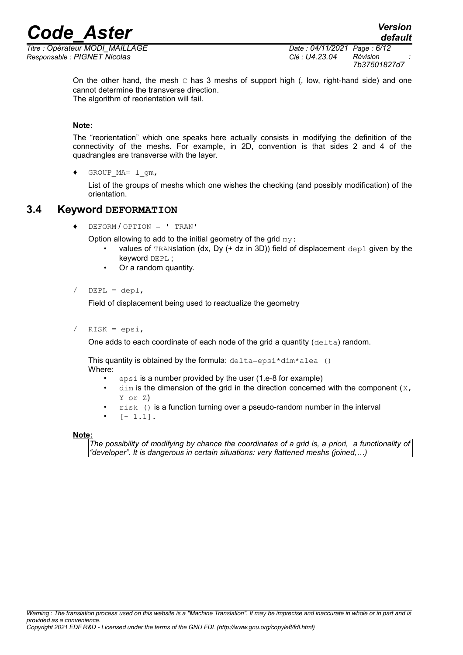*Responsable : PIGNET Nicolas Clé : U4.23.04 Révision :*

*Titre : Opérateur MODI\_MAILLAGE Date : 04/11/2021 Page : 6/12 7b37501827d7*

> On the other hand, the mesh  $\subset$  has 3 meshs of support high (, low, right-hand side) and one cannot determine the transverse direction. The algorithm of reorientation will fail.

#### **Note:**

The "reorientation" which one speaks here actually consists in modifying the definition of the connectivity of the meshs. For example, in 2D, convention is that sides 2 and 4 of the quadrangles are transverse with the layer.

GROUP  $MA= 1$  qm,

List of the groups of meshs which one wishes the checking (and possibly modification) of the orientation.

### **3.4 Keyword DEFORMATION**

<span id="page-5-0"></span>♦ DEFORM / OPTION = ' TRAN'

Option allowing to add to the initial geometry of the grid  $my$ :

- values of TRANSlation (dx, Dy  $(+$  dz in 3D)) field of displacement  $\text{dep1}$  given by the keyword DEPL ;
- Or a random quantity.

#### $DEPL = dep1$ ,

Field of displacement being used to reactualize the geometry

 $RISK = epsi,$ 

One adds to each coordinate of each node of the grid a quantity  $(delta)$  random.

This quantity is obtained by the formula:  $delta=epsi*dim*alea$  () Where:

- epsi is a number provided by the user (1.e-8 for example)
- $dim$  is the dimension of the grid in the direction concerned with the component ( $X$ , Y or Z)
- $risk$  () is a function turning over a pseudo-random number in the interval
- $[- 1.1].$

#### **Note:**

*The possibility of modifying by chance the coordinates of a grid is, a priori, a functionality of "developer". It is dangerous in certain situations: very flattened meshs (joined,…)*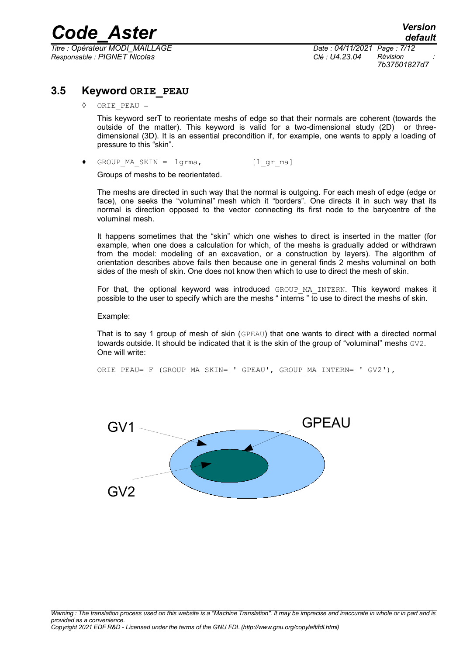*Titre : Opérateur MODI\_MAILLAGE Date : 04/11/2021 Page : 7/12 Responsable : PIGNET Nicolas Clé : U4.23.04 Révision :*

*7b37501827d7*

### **3.5 Keyword ORIE\_PEAU**

<span id="page-6-0"></span>ORIE PEAU =

This keyword serT to reorientate meshs of edge so that their normals are coherent (towards the outside of the matter). This keyword is valid for a two-dimensional study (2D) or threedimensional (3D). It is an essential precondition if, for example, one wants to apply a loading of pressure to this "skin".

♦ GROUP\_MA\_SKIN = lgrma, [l\_gr\_ma]

Groups of meshs to be reorientated.

The meshs are directed in such way that the normal is outgoing. For each mesh of edge (edge or face), one seeks the "voluminal" mesh which it "borders". One directs it in such way that its normal is direction opposed to the vector connecting its first node to the barycentre of the voluminal mesh.

It happens sometimes that the "skin" which one wishes to direct is inserted in the matter (for example, when one does a calculation for which, of the meshs is gradually added or withdrawn from the model: modeling of an excavation, or a construction by layers). The algorithm of orientation describes above fails then because one in general finds 2 meshs voluminal on both sides of the mesh of skin. One does not know then which to use to direct the mesh of skin.

For that, the optional keyword was introduced GROUP MA INTERN. This keyword makes it possible to the user to specify which are the meshs " interns " to use to direct the meshs of skin.

Example:

That is to say 1 group of mesh of skin (GPEAU) that one wants to direct with a directed normal towards outside. It should be indicated that it is the skin of the group of "voluminal" meshs GV2. One will write:

ORIE PEAU= F (GROUP MA SKIN= ' GPEAU', GROUP MA INTERN= ' GV2'),

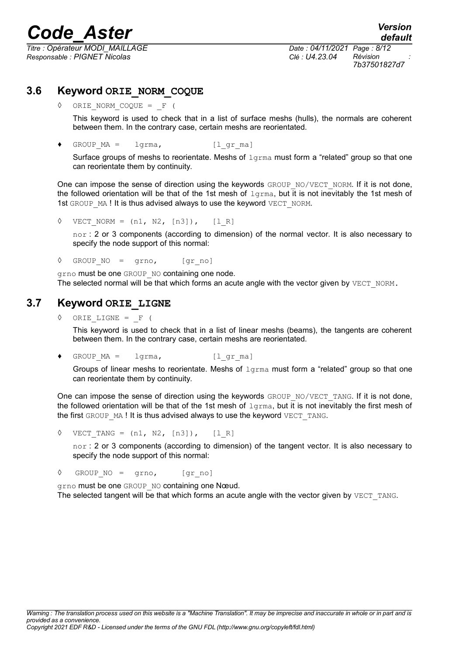*Titre : Opérateur MODI\_MAILLAGE Date : 04/11/2021 Page : 8/12 Responsable : PIGNET Nicolas Clé : U4.23.04 Révision :*

*7b37501827d7*

### **3.6 Keyword ORIE\_NORM\_COQUE**

<span id="page-7-1"></span>ORIE NORM COQUE =  $F$  (

This keyword is used to check that in a list of surface meshs (hulls), the normals are coherent between them. In the contrary case, certain meshs are reorientated.

♦ GROUP\_MA = lgrma, [l\_gr\_ma]

Surface groups of meshs to reorientate. Meshs of  $1g_{\text{rms}}$  must form a "related" group so that one can reorientate them by continuity.

One can impose the sense of direction using the keywords  $GROUP-NO/VECT-NORM$ . If it is not done, the followed orientation will be that of the 1st mesh of  $1g_{\text{rm}}$ , but it is not inevitably the 1st mesh of 1st GROUP MA ! It is thus advised always to use the keyword VECT\_NORM.

 $\sqrt{VECT}$  NORM = (n1, N2, [n3]), [l R]

nor : 2 or 3 components (according to dimension) of the normal vector. It is also necessary to specify the node support of this normal:

 $\Diamond$  GROUP NO = grno, [gr\_no]

grno must be one GROUP NO containing one node. The selected normal will be that which forms an acute angle with the vector given by VECT\_NORM.

### **3.7 Keyword ORIE\_LIGNE**

<span id="page-7-0"></span>◊ ORIE\_LIGNE = \_F (

This keyword is used to check that in a list of linear meshs (beams), the tangents are coherent between them. In the contrary case, certain meshs are reorientated.

♦ GROUP\_MA = lgrma, [l\_gr\_ma]

Groups of linear meshs to reorientate. Meshs of  $1$ grma must form a "related" group so that one can reorientate them by continuity.

One can impose the sense of direction using the keywords  $GROUP-NO/VECT-TANG$ . If it is not done, the followed orientation will be that of the 1st mesh of  $1g_{\text{L,Tma}}$ , but it is not inevitably the first mesh of the first GROUP MA ! It is thus advised always to use the keyword VECT TANG.

 $\sqrt{VECT}$  TANG = (n1, N2, [n3]), [l R]

nor : 2 or 3 components (according to dimension) of the tangent vector. It is also necessary to specify the node support of this normal:

◊ GROUP\_NO = grno, [gr\_no]

grno must be one GROUP NO containing one Nœud.

The selected tangent will be that which forms an acute angle with the vector given by VECT TANG.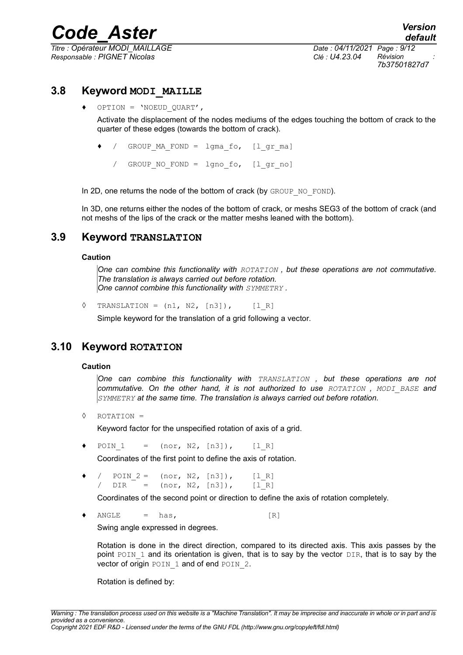*Titre : Opérateur MODI\_MAILLAGE Date : 04/11/2021 Page : 9/12 Responsable : PIGNET Nicolas Clé : U4.23.04 Révision :*

*7b37501827d7*

### **3.8 Keyword MODI\_MAILLE**

<span id="page-8-2"></span>OPTION = 'NOEUD OUART',

Activate the displacement of the nodes mediums of the edges touching the bottom of crack to the quarter of these edges (towards the bottom of crack).

- ♦ / GROUP\_MA\_FOND = lgma\_fo, [l\_gr\_ma]
	- / GROUP NO FOND = lgno fo, [lgr no]

In 2D, one returns the node of the bottom of crack (by GROUP NO\_FOND).

In 3D, one returns either the nodes of the bottom of crack, or meshs SEG3 of the bottom of crack (and not meshs of the lips of the crack or the matter meshs leaned with the bottom).

### **3.9 Keyword TRANSLATION**

#### <span id="page-8-1"></span>**Caution**

*One can combine this functionality with ROTATION , but these operations are not commutative. The translation is always carried out before rotation. One cannot combine this functionality with SYMMETRY .*

 $\Diamond$  TRANSLATION =  $(n1, N2, [n3])$ ,  $[1, R]$ 

Simple keyword for the translation of a grid following a vector.

### **3.10 Keyword ROTATION**

#### <span id="page-8-0"></span>**Caution**

*One can combine this functionality with TRANSLATION , but these operations are not commutative. On the other hand, it is not authorized to use ROTATION , MODI\_BASE and SYMMETRY at the same time. The translation is always carried out before rotation.*

◊ ROTATION =

Keyword factor for the unspecified rotation of axis of a grid.

 $POIN 1 = (nor, N2, [n3]), [l R]$ 

Coordinates of the first point to define the axis of rotation.

 $\bullet$  / POIN 2 = (nor, N2, [n3]), [l R]  $DIR = (nor, N2, [n3]), [l R]$ 

Coordinates of the second point or direction to define the axis of rotation completely.

 $ANGLE$  = has,  $[R]$ 

Swing angle expressed in degrees.

Rotation is done in the direct direction, compared to its directed axis. This axis passes by the point POIN 1 and its orientation is given, that is to say by the vector DIR, that is to say by the vector of origin POIN 1 and of end POIN 2.

Rotation is defined by: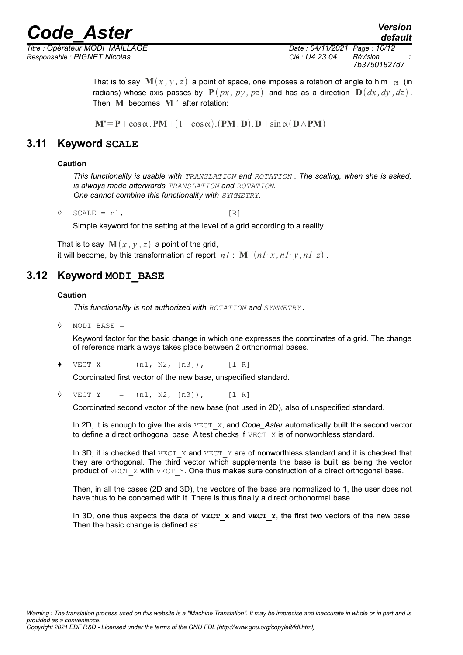*Titre : Opérateur MODI\_MAILLAGE Date : 04/11/2021 Page : 10/12 Responsable : PIGNET Nicolas Clé : U4.23.04 Révision :*

*7b37501827d7*

*default*

That is to say  $\mathbf{M}(x, y, z)$  a point of space, one imposes a rotation of angle to him  $\alpha$  (in radians) whose axis passes by  $P(px, py, pz)$  and has as a direction  $D(dx, dy, dz)$ . Then **M** becomes **M** *'* after rotation:

 $M' = P + \cos \alpha$ .  $PM + (1 - \cos \alpha)$ .  $(PM \cdot D)$ .  $D + \sin \alpha (D \wedge PM)$ 

### **3.11 Keyword SCALE**

### <span id="page-9-1"></span>**Caution**

*This functionality is usable with TRANSLATION and ROTATION . The scaling, when she is asked, is always made afterwards TRANSLATION and ROTATION. One cannot combine this functionality with SYMMETRY.*

 $\Diamond$  SCALE = n1, [R]

Simple keyword for the setting at the level of a grid according to a reality.

That is to say  $\mathbf{M}(x, y, z)$  a point of the grid, it will become, by this transformation of report  $n! : \mathbf{M}^{\prime}(n! \cdot x, n! \cdot y, n! \cdot z)$ .

### **3.12 Keyword MODI\_BASE**

#### <span id="page-9-0"></span>**Caution**

*This functionality is not authorized with ROTATION and SYMMETRY.*

◊ MODI\_BASE =

Keyword factor for the basic change in which one expresses the coordinates of a grid. The change of reference mark always takes place between 2 orthonormal bases.

 $VECT X = (n1, N2, [n3]), [l R]$ 

Coordinated first vector of the new base, unspecified standard.

 $\sqrt{VECT}Y = (n1, N2, [n3]),$  [l R]

Coordinated second vector of the new base (not used in 2D), also of unspecified standard.

In 2D, it is enough to give the axis  $VECT X$ , and *Code Aster* automatically built the second vector to define a direct orthogonal base. A test checks if  $VECT X$  is of nonworthless standard.

In 3D, it is checked that VECT  $X$  and VECT  $Y$  are of nonworthless standard and it is checked that they are orthogonal. The third vector which supplements the base is built as being the vector product of VECT  $\times$  with VECT  $\times$ . One thus makes sure construction of a direct orthogonal base.

Then, in all the cases (2D and 3D), the vectors of the base are normalized to 1, the user does not have thus to be concerned with it. There is thus finally a direct orthonormal base.

In 3D, one thus expects the data of **VECT\_X** and **VECT\_Y**, the first two vectors of the new base. Then the basic change is defined as: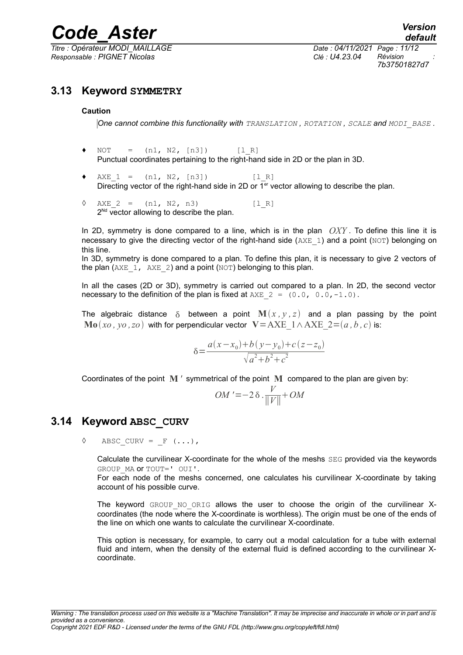*Titre : Opérateur MODI\_MAILLAGE Date : 04/11/2021 Page : 11/12 Responsable : PIGNET Nicolas Clé : U4.23.04 Révision :*

*7b37501827d7*

### **3.13 Keyword SYMMETRY**

#### <span id="page-10-1"></span>**Caution**

*One cannot combine this functionality with TRANSLATION , ROTATION , SCALE and MODI\_BASE .*

- $NOT = (n1, N2, [n3])$  [l R] Punctual coordinates pertaining to the right-hand side in 2D or the plan in 3D.
- $\triangleleft$  AXE 1 = (n1, N2, [n3]) [l R] Directing vector of the right-hand side in 2D or 1<sup>er</sup> vector allowing to describe the plan.
- $\Diamond$  AXE 2 = (n1, N2, n3) [1 R]  $2^{Nd}$  vector allowing to describe the plan.

In 2D, symmetry is done compared to a line, which is in the plan *OXY* . To define this line it is necessary to give the directing vector of the right-hand side ( $AXE_1$ ) and a point (NOT) belonging on this line.

In 3D, symmetry is done compared to a plan. To define this plan, it is necessary to give 2 vectors of the plan ( $AXE_1$ ,  $AXE_2$ ) and a point ( $NOT$ ) belonging to this plan.

In all the cases (2D or 3D), symmetry is carried out compared to a plan. In 2D, the second vector necessary to the definition of the plan is fixed at  $AXE = (0.0, 0.0, -1.0)$ .

The algebraic distance  $\delta$  between a point  $\mathbf{M}(x, y, z)$  and a plan passing by the point **Mo**  $(x_0, y_0, z_0)$  with for perpendicular vector  $V = AXE_1 \wedge AXE_2 = (a, b, c)$  is:

$$
\delta = \frac{a(x - x_0) + b(y - y_0) + c(z - z_0)}{\sqrt{a^2 + b^2 + c^2}}
$$

Coordinates of the point **M** *'* symmetrical of the point **M** compared to the plan are given by:

$$
OM' = -2 \delta \cdot \frac{V}{\|V\|} + OM
$$

### **3.14 Keyword ABSC\_CURV**

<span id="page-10-0"></span> $\Diamond$  ABSC CURV =  $F$  (...),

Calculate the curvilinear X-coordinate for the whole of the meshs SEG provided via the keywords GROUP MA or TOUT=' OUI'.

For each node of the meshs concerned, one calculates his curvilinear X-coordinate by taking account of his possible curve.

The keyword GROUP NO ORIG allows the user to choose the origin of the curvilinear Xcoordinates (the node where the X-coordinate is worthless). The origin must be one of the ends of the line on which one wants to calculate the curvilinear X-coordinate.

This option is necessary, for example, to carry out a modal calculation for a tube with external fluid and intern, when the density of the external fluid is defined according to the curvilinear Xcoordinate.